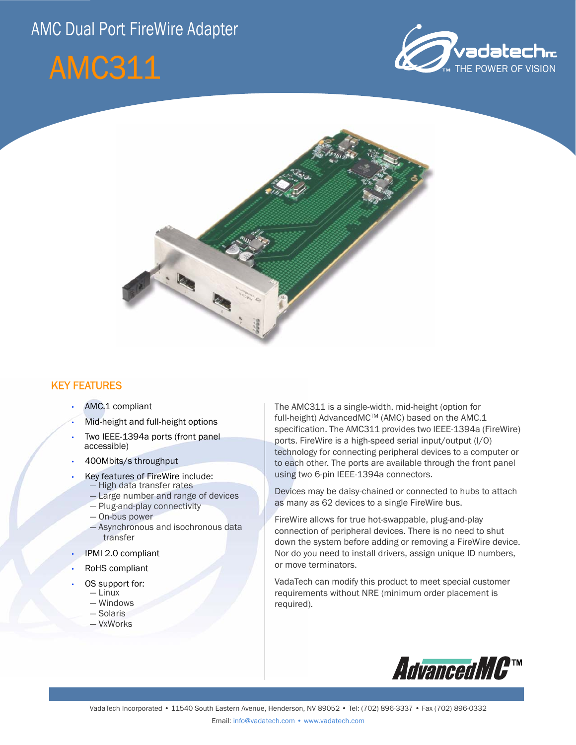# AMC Dual Port FireWire Adapter







## KEY FEATURES

- AMC.1 compliant
- Mid-height and full-height options
- Two IEEE-1394a ports (front panel accessible)
- 400Mbits/s throughput
- Key features of FireWire include: — High data transfer rates
	- Large number and range of devices
	- Plug-and-play connectivity
	- On-bus power
	- Asynchronous and isochronous data transfer
- IPMI 2.0 compliant
- RoHS compliant
- OS support for:
	- Linux
	- Windows
	- Solaris
	- VxWorks

The AMC311 is a single-width, mid-height (option for full-height) AdvancedMC™ (AMC) based on the AMC.1 specification. The AMC311 provides two IEEE-1394a (FireWire) ports. FireWire is a high-speed serial input/output (I/O) technology for connecting peripheral devices to a computer or to each other. The ports are available through the front panel using two 6-pin IEEE-1394a connectors.

Devices may be daisy-chained or connected to hubs to attach as many as 62 devices to a single FireWire bus.

FireWire allows for true hot-swappable, plug-and-play connection of peripheral devices. There is no need to shut down the system before adding or removing a FireWire device. Nor do you need to install drivers, assign unique ID numbers, or move terminators.

VadaTech can modify this product to meet special customer requirements without NRE (minimum order placement is required).

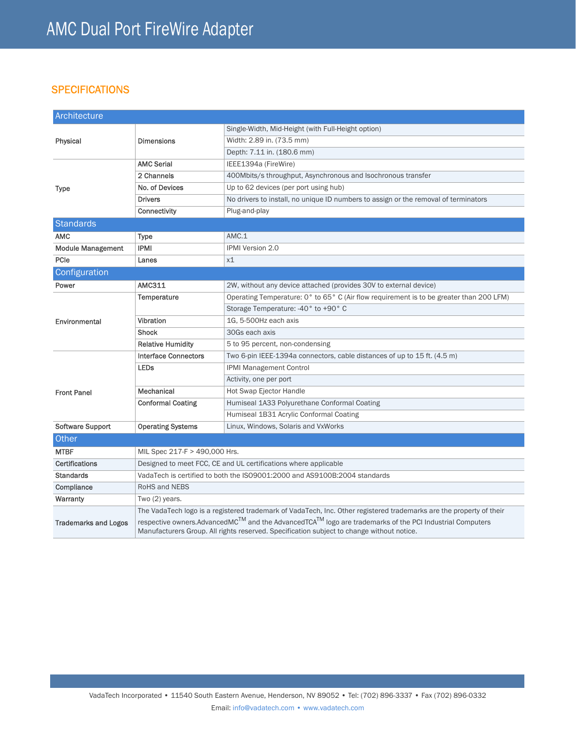# **SPECIFICATIONS**

| Architecture                |                                                                                                                                                                                                                                                                                                                                         |                                                                                         |
|-----------------------------|-----------------------------------------------------------------------------------------------------------------------------------------------------------------------------------------------------------------------------------------------------------------------------------------------------------------------------------------|-----------------------------------------------------------------------------------------|
| Physical                    | <b>Dimensions</b>                                                                                                                                                                                                                                                                                                                       | Single-Width, Mid-Height (with Full-Height option)                                      |
|                             |                                                                                                                                                                                                                                                                                                                                         | Width: 2.89 in. (73.5 mm)                                                               |
|                             |                                                                                                                                                                                                                                                                                                                                         | Depth: 7.11 in. (180.6 mm)                                                              |
| <b>Type</b>                 | <b>AMC Serial</b>                                                                                                                                                                                                                                                                                                                       | IEEE1394a (FireWire)                                                                    |
|                             | 2 Channels                                                                                                                                                                                                                                                                                                                              | 400Mbits/s throughput, Asynchronous and Isochronous transfer                            |
|                             | No. of Devices                                                                                                                                                                                                                                                                                                                          | Up to 62 devices (per port using hub)                                                   |
|                             | <b>Drivers</b>                                                                                                                                                                                                                                                                                                                          | No drivers to install, no unique ID numbers to assign or the removal of terminators     |
|                             | Connectivity                                                                                                                                                                                                                                                                                                                            | Plug-and-play                                                                           |
| <b>Standards</b>            |                                                                                                                                                                                                                                                                                                                                         |                                                                                         |
| <b>AMC</b>                  | <b>Type</b>                                                                                                                                                                                                                                                                                                                             | AMC.1                                                                                   |
| <b>Module Management</b>    | <b>IPMI</b>                                                                                                                                                                                                                                                                                                                             | <b>IPMI Version 2.0</b>                                                                 |
| PCIe                        | Lanes                                                                                                                                                                                                                                                                                                                                   | x1                                                                                      |
| Configuration               |                                                                                                                                                                                                                                                                                                                                         |                                                                                         |
| Power                       | <b>AMC311</b>                                                                                                                                                                                                                                                                                                                           | 2W, without any device attached (provides 30V to external device)                       |
| Environmental               | Temperature                                                                                                                                                                                                                                                                                                                             | Operating Temperature: 0° to 65° C (Air flow requirement is to be greater than 200 LFM) |
|                             |                                                                                                                                                                                                                                                                                                                                         | Storage Temperature: -40° to +90° C                                                     |
|                             | Vibration                                                                                                                                                                                                                                                                                                                               | 1G, 5-500Hz each axis                                                                   |
|                             | Shock                                                                                                                                                                                                                                                                                                                                   | 30Gs each axis                                                                          |
|                             | <b>Relative Humidity</b>                                                                                                                                                                                                                                                                                                                | 5 to 95 percent, non-condensing                                                         |
| <b>Front Panel</b>          | <b>Interface Connectors</b>                                                                                                                                                                                                                                                                                                             | Two 6-pin IEEE-1394a connectors, cable distances of up to 15 ft. (4.5 m)                |
|                             | <b>LEDs</b>                                                                                                                                                                                                                                                                                                                             | <b>IPMI Management Control</b>                                                          |
|                             |                                                                                                                                                                                                                                                                                                                                         | Activity, one per port                                                                  |
|                             | Mechanical                                                                                                                                                                                                                                                                                                                              | Hot Swap Ejector Handle                                                                 |
|                             | <b>Conformal Coating</b>                                                                                                                                                                                                                                                                                                                | Humiseal 1A33 Polyurethane Conformal Coating                                            |
|                             |                                                                                                                                                                                                                                                                                                                                         | Humiseal 1B31 Acrylic Conformal Coating                                                 |
| Software Support            | <b>Operating Systems</b>                                                                                                                                                                                                                                                                                                                | Linux, Windows, Solaris and VxWorks                                                     |
| Other                       |                                                                                                                                                                                                                                                                                                                                         |                                                                                         |
| <b>MTBF</b>                 | MIL Spec 217-F > 490,000 Hrs.                                                                                                                                                                                                                                                                                                           |                                                                                         |
| <b>Certifications</b>       | Designed to meet FCC, CE and UL certifications where applicable                                                                                                                                                                                                                                                                         |                                                                                         |
| <b>Standards</b>            | VadaTech is certified to both the ISO9001:2000 and AS9100B:2004 standards                                                                                                                                                                                                                                                               |                                                                                         |
| Compliance                  | <b>RoHS and NEBS</b>                                                                                                                                                                                                                                                                                                                    |                                                                                         |
| Warranty                    | Two (2) years.                                                                                                                                                                                                                                                                                                                          |                                                                                         |
| <b>Trademarks and Logos</b> | The VadaTech logo is a registered trademark of VadaTech, Inc. Other registered trademarks are the property of their<br>respective owners.AdvancedMC™ and the AdvancedTCA <sup>TM</sup> logo are trademarks of the PCI Industrial Computers<br>Manufacturers Group. All rights reserved. Specification subject to change without notice. |                                                                                         |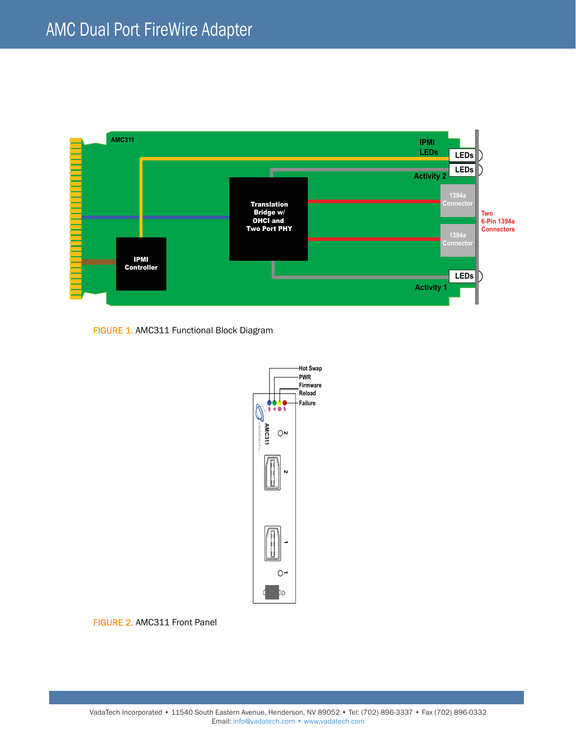

FIGURE 1. AMC311 Functional Block Diagram



FIGURE 2. AMC311 Front Panel